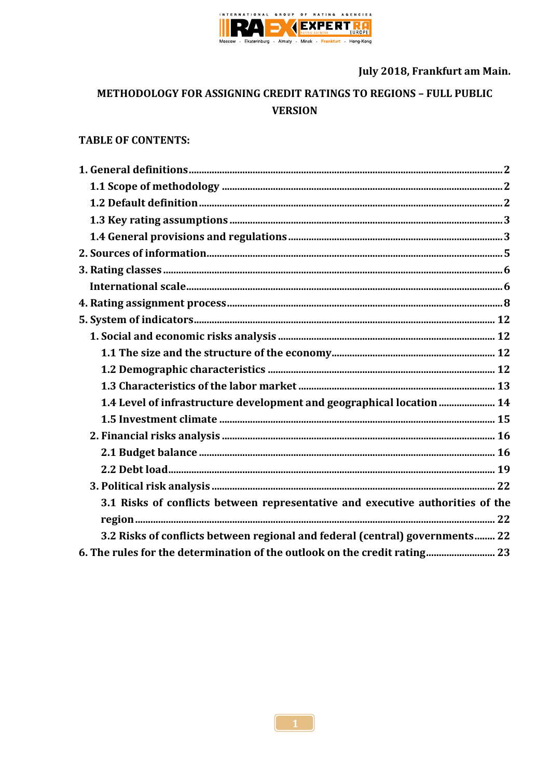

July 2018, Frankfurt am Main.

# METHODOLOGY FOR ASSIGNING CREDIT RATINGS TO REGIONS - FULL PUBLIC **VERSION**

# **TABLE OF CONTENTS:**

| 1.4 Level of infrastructure development and geographical location  14          |  |
|--------------------------------------------------------------------------------|--|
|                                                                                |  |
|                                                                                |  |
|                                                                                |  |
|                                                                                |  |
|                                                                                |  |
| 3.1 Risks of conflicts between representative and executive authorities of the |  |
|                                                                                |  |
| 3.2 Risks of conflicts between regional and federal (central) governments 22   |  |
| 6. The rules for the determination of the outlook on the credit rating 23      |  |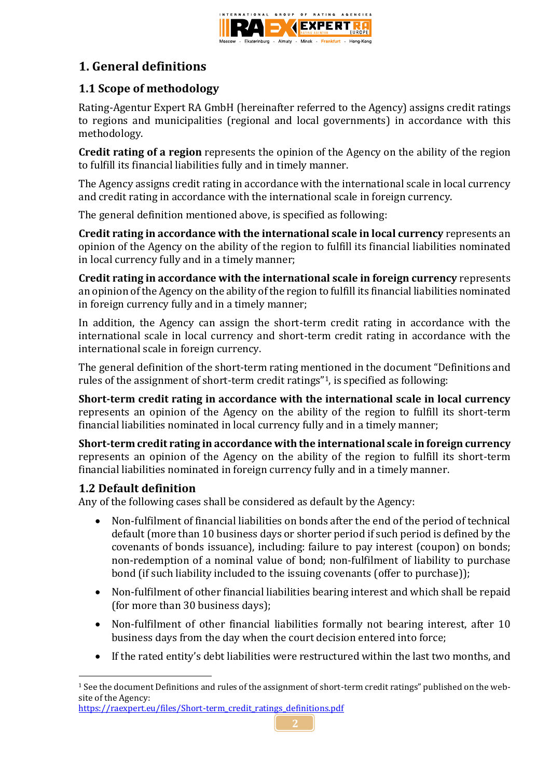

# **1. General definitions**

# **1.1 Scope of methodology**

Rating-Agentur Expert RA GmbH (hereinafter referred to the Agency) assigns credit ratings to regions and municipalities (regional and local governments) in accordance with this methodology.

**Credit rating of a region** represents the opinion of the Agency on the ability of the region to fulfill its financial liabilities fully and in timely manner.

The Agency assigns credit rating in accordance with the international scale in local currency and credit rating in accordance with the international scale in foreign currency.

The general definition mentioned above, is specified as following:

**Credit rating in accordance with the international scale in local currency** represents an opinion of the Agency on the ability of the region to fulfill its financial liabilities nominated in local currency fully and in a timely manner;

**Credit rating in accordance with the international scale in foreign currency** represents an opinion of the Agency on the ability of the region to fulfill its financial liabilities nominated in foreign currency fully and in a timely manner;

In addition, the Agency can assign the short-term credit rating in accordance with the international scale in local currency and short-term credit rating in accordance with the international scale in foreign currency.

The general definition of the short-term rating mentioned in the document "Definitions and rules of the assignment of short-term credit ratings"1, is specified as following:

**Short-term credit rating in accordance with the international scale in local currency** represents an opinion of the Agency on the ability of the region to fulfill its short-term financial liabilities nominated in local currency fully and in a timely manner;

**Short-term credit rating in accordance with the international scale in foreign currency** represents an opinion of the Agency on the ability of the region to fulfill its short-term financial liabilities nominated in foreign currency fully and in a timely manner.

# **1.2 Default definition**

1

Any of the following cases shall be considered as default by the Agency:

- Non-fulfilment of financial liabilities on bonds after the end of the period of technical default (more than 10 business days or shorter period if such period is defined by the covenants of bonds issuance), including: failure to pay interest (coupon) on bonds; non-redemption of a nominal value of bond; non-fulfilment of liability to purchase bond (if such liability included to the issuing covenants (offer to purchase));
- Non-fulfilment of other financial liabilities bearing interest and which shall be repaid (for more than 30 business days);
- Non-fulfilment of other financial liabilities formally not bearing interest, after 10 business days from the day when the court decision entered into force;
- If the rated entity's debt liabilities were restructured within the last two months, and

<sup>1</sup> See the document Definitions and rules of the assignment of short-term credit ratings" published on the website of the Agency:

[https://raexpert.eu/files/Short-term\\_credit\\_ratings\\_definitions.pdf](https://raexpert.eu/files/Short-term_credit_ratings_definitions.pdf)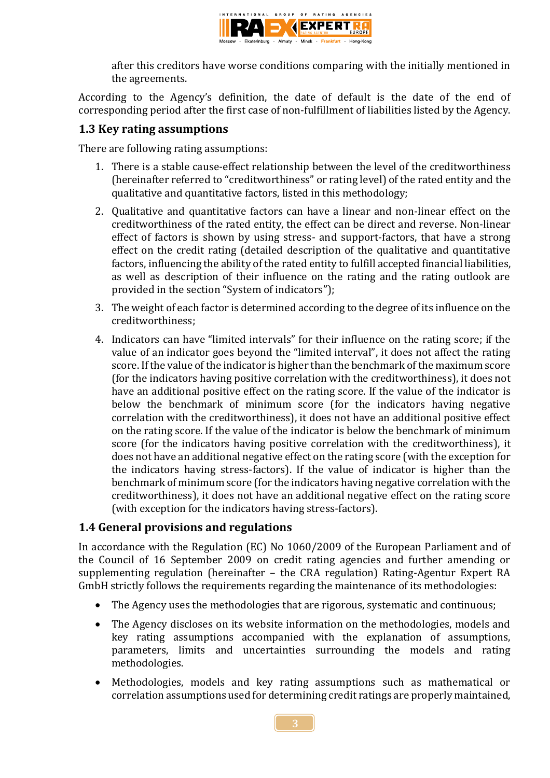

after this creditors have worse conditions comparing with the initially mentioned in the agreements.

According to the Agency's definition, the date of default is the date of the end of corresponding period after the first case of non-fulfillment of liabilities listed by the Agency.

# **1.3 Key rating assumptions**

There are following rating assumptions:

- 1. There is a stable cause-effect relationship between the level of the creditworthiness (hereinafter referred to "creditworthiness" or rating level) of the rated entity and the qualitative and quantitative factors, listed in this methodology;
- 2. Qualitative and quantitative factors can have a linear and non-linear effect on the creditworthiness of the rated entity, the effect can be direct and reverse. Non-linear effect of factors is shown by using stress- and support-factors, that have a strong effect on the credit rating (detailed description of the qualitative and quantitative factors, influencing the ability of the rated entity to fulfill accepted financial liabilities, as well as description of their influence on the rating and the rating outlook are provided in the section "System of indicators");
- 3. The weight of each factor is determined according to the degree of its influence on the creditworthiness;
- 4. Indicators can have "limited intervals" for their influence on the rating score; if the value of an indicator goes beyond the "limited interval", it does not affect the rating score. If the value of the indicator is higher than the benchmark of the maximum score (for the indicators having positive correlation with the creditworthiness), it does not have an additional positive effect on the rating score. If the value of the indicator is below the benchmark of minimum score (for the indicators having negative correlation with the creditworthiness), it does not have an additional positive effect on the rating score. If the value of the indicator is below the benchmark of minimum score (for the indicators having positive correlation with the creditworthiness), it does not have an additional negative effect on the rating score (with the exception for the indicators having stress-factors). If the value of indicator is higher than the benchmark of minimum score (for the indicators having negative correlation with the creditworthiness), it does not have an additional negative effect on the rating score (with exception for the indicators having stress-factors).

# **1.4 General provisions and regulations**

In accordance with the Regulation (EC) No 1060/2009 of the European Parliament and of the Council of 16 September 2009 on credit rating agencies and further amending or supplementing regulation (hereinafter – the CRA regulation) Rating-Agentur Expert RA GmbH strictly follows the requirements regarding the maintenance of its methodologies:

- The Agency uses the methodologies that are rigorous, systematic and continuous;
- The Agency discloses on its website information on the methodologies, models and key rating assumptions accompanied with the explanation of assumptions, parameters, limits and uncertainties surrounding the models and rating methodologies.
- Methodologies, models and key rating assumptions such as mathematical or correlation assumptions used for determining credit ratings are properly maintained,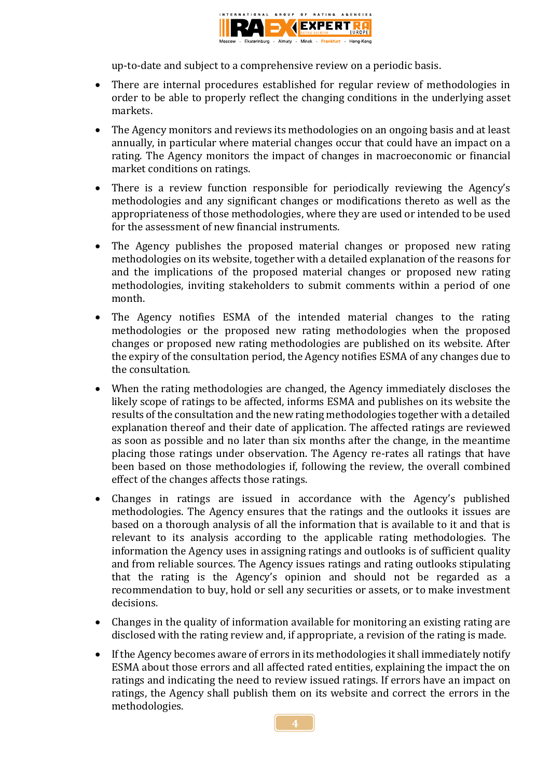

up-to-date and subject to a comprehensive review on a periodic basis.

- There are internal procedures established for regular review of methodologies in order to be able to properly reflect the changing conditions in the underlying asset markets.
- The Agency monitors and reviews its methodologies on an ongoing basis and at least annually, in particular where material changes occur that could have an impact on a rating. The Agency monitors the impact of changes in macroeconomic or financial market conditions on ratings.
- There is a review function responsible for periodically reviewing the Agency's methodologies and any significant changes or modifications thereto as well as the appropriateness of those methodologies, where they are used or intended to be used for the assessment of new financial instruments.
- The Agency publishes the proposed material changes or proposed new rating methodologies on its website, together with a detailed explanation of the reasons for and the implications of the proposed material changes or proposed new rating methodologies, inviting stakeholders to submit comments within a period of one month.
- The Agency notifies ESMA of the intended material changes to the rating methodologies or the proposed new rating methodologies when the proposed changes or proposed new rating methodologies are published on its website. After the expiry of the consultation period, the Agency notifies ESMA of any changes due to the consultation.
- When the rating methodologies are changed, the Agency immediately discloses the likely scope of ratings to be affected, informs ESMA and publishes on its website the results of the consultation and the new rating methodologies together with a detailed explanation thereof and their date of application. The affected ratings are reviewed as soon as possible and no later than six months after the change, in the meantime placing those ratings under observation. The Agency re-rates all ratings that have been based on those methodologies if, following the review, the overall combined effect of the changes affects those ratings.
- Changes in ratings are issued in accordance with the Agency's published methodologies. The Agency ensures that the ratings and the outlooks it issues are based on a thorough analysis of all the information that is available to it and that is relevant to its analysis according to the applicable rating methodologies. The information the Agency uses in assigning ratings and outlooks is of sufficient quality and from reliable sources. The Agency issues ratings and rating outlooks stipulating that the rating is the Agency's opinion and should not be regarded as a recommendation to buy, hold or sell any securities or assets, or to make investment decisions.
- Changes in the quality of information available for monitoring an existing rating are disclosed with the rating review and, if appropriate, a revision of the rating is made.
- If the Agency becomes aware of errors in its methodologies it shall immediately notify ESMA about those errors and all affected rated entities, explaining the impact the on ratings and indicating the need to review issued ratings. If errors have an impact on ratings, the Agency shall publish them on its website and correct the errors in the methodologies.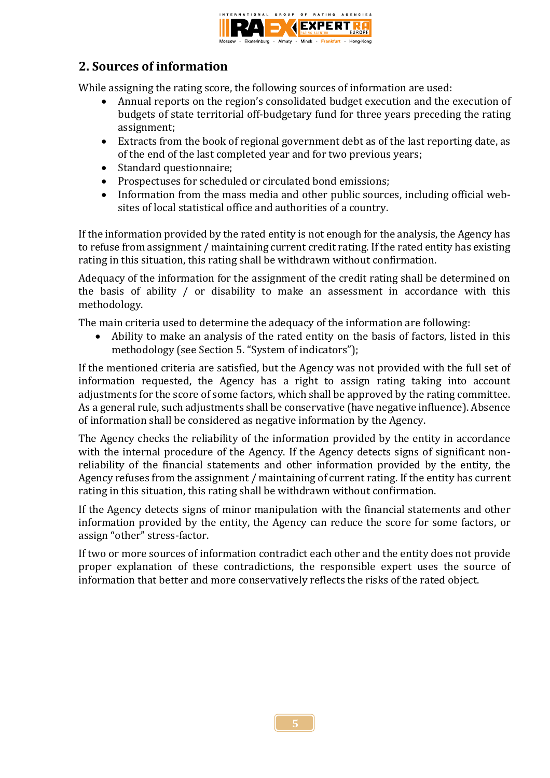

# **2. Sources of information**

While assigning the rating score, the following sources of information are used:

- Annual reports on the region's consolidated budget execution and the execution of budgets of state territorial off-budgetary fund for three years preceding the rating assignment;
- Extracts from the book of regional government debt as of the last reporting date, as of the end of the last completed year and for two previous years;
- Standard questionnaire;
- Prospectuses for scheduled or circulated bond emissions;
- Information from the mass media and other public sources, including official websites of local statistical office and authorities of a country.

If the information provided by the rated entity is not enough for the analysis, the Agency has to refuse from assignment / maintaining current credit rating. If the rated entity has existing rating in this situation, this rating shall be withdrawn without confirmation.

Adequacy of the information for the assignment of the credit rating shall be determined on the basis of ability / or disability to make an assessment in accordance with this methodology.

The main criteria used to determine the adequacy of the information are following:

 Ability to make an analysis of the rated entity on the basis of factors, listed in this methodology (see Section 5. "System of indicators");

If the mentioned criteria are satisfied, but the Agency was not provided with the full set of information requested, the Agency has a right to assign rating taking into account adjustments for the score of some factors, which shall be approved by the rating committee. As a general rule, such adjustments shall be conservative (have negative influence). Absence of information shall be considered as negative information by the Agency.

The Agency checks the reliability of the information provided by the entity in accordance with the internal procedure of the Agency. If the Agency detects signs of significant nonreliability of the financial statements and other information provided by the entity, the Agency refuses from the assignment / maintaining of current rating. If the entity has current rating in this situation, this rating shall be withdrawn without confirmation.

If the Agency detects signs of minor manipulation with the financial statements and other information provided by the entity, the Agency can reduce the score for some factors, or assign "other" stress-factor.

If two or more sources of information contradict each other and the entity does not provide proper explanation of these contradictions, the responsible expert uses the source of information that better and more conservatively reflects the risks of the rated object.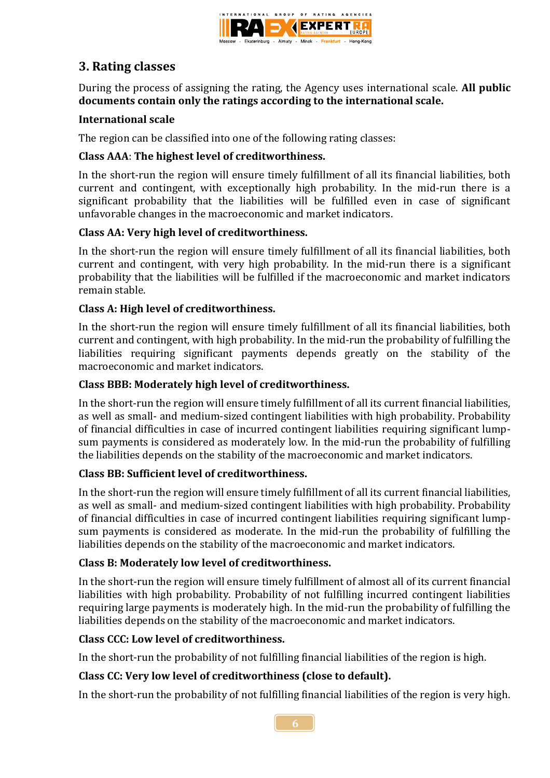

# **3. Rating classes**

During the process of assigning the rating, the Agency uses international scale. **All public documents contain only the ratings according to the international scale.**

# **International scale**

The region can be classified into one of the following rating classes:

# **Class AAA**: **The highest level of creditworthiness.**

In the short-run the region will ensure timely fulfillment of all its financial liabilities, both current and contingent, with exceptionally high probability. In the mid-run there is a significant probability that the liabilities will be fulfilled even in case of significant unfavorable changes in the macroeconomic and market indicators.

# **Class AA: Very high level of creditworthiness.**

In the short-run the region will ensure timely fulfillment of all its financial liabilities, both current and contingent, with very high probability. In the mid-run there is a significant probability that the liabilities will be fulfilled if the macroeconomic and market indicators remain stable.

# **Class A: High level of creditworthiness.**

In the short-run the region will ensure timely fulfillment of all its financial liabilities, both current and contingent, with high probability. In the mid-run the probability of fulfilling the liabilities requiring significant payments depends greatly on the stability of the macroeconomic and market indicators.

# **Class ВBB: Moderately high level of creditworthiness.**

In the short-run the region will ensure timely fulfillment of all its current financial liabilities, as well as small- and medium-sized contingent liabilities with high probability. Probability of financial difficulties in case of incurred contingent liabilities requiring significant lumpsum payments is considered as moderately low. In the mid-run the probability of fulfilling the liabilities depends on the stability of the macroeconomic and market indicators.

# **Class ВB: Sufficient level of creditworthiness.**

In the short-run the region will ensure timely fulfillment of all its current financial liabilities, as well as small- and medium-sized contingent liabilities with high probability. Probability of financial difficulties in case of incurred contingent liabilities requiring significant lumpsum payments is considered as moderate. In the mid-run the probability of fulfilling the liabilities depends on the stability of the macroeconomic and market indicators.

# **Class В: Moderately low level of creditworthiness.**

In the short-run the region will ensure timely fulfillment of almost all of its current financial liabilities with high probability. Probability of not fulfilling incurred contingent liabilities requiring large payments is moderately high. In the mid-run the probability of fulfilling the liabilities depends on the stability of the macroeconomic and market indicators.

# **Class СCC: Low level of creditworthiness.**

In the short-run the probability of not fulfilling financial liabilities of the region is high.

# **Class СC: Very low level of creditworthiness (close to default).**

In the short-run the probability of not fulfilling financial liabilities of the region is very high.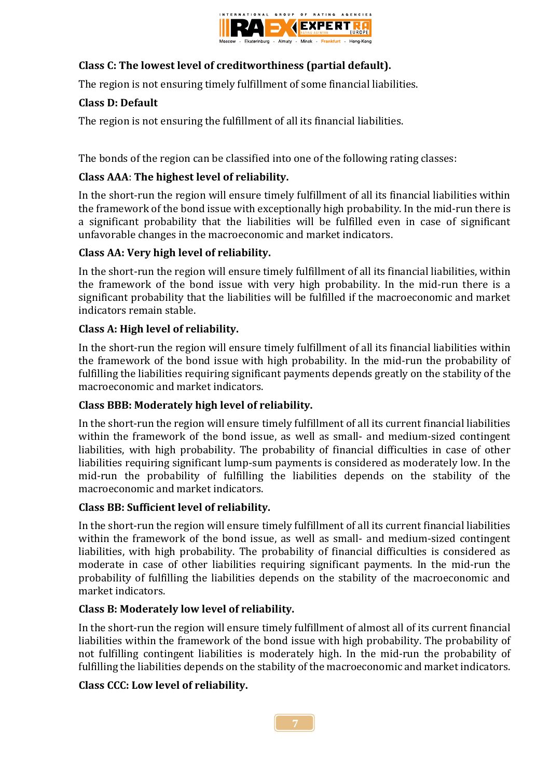

# **Class С: The lowest level of creditworthiness (partial default).**

The region is not ensuring timely fulfillment of some financial liabilities.

# **Class D: Default**

The region is not ensuring the fulfillment of all its financial liabilities.

The bonds of the region can be classified into one of the following rating classes:

# **Class AAA**: **The highest level of reliability.**

In the short-run the region will ensure timely fulfillment of all its financial liabilities within the framework of the bond issue with exceptionally high probability. In the mid-run there is a significant probability that the liabilities will be fulfilled even in case of significant unfavorable changes in the macroeconomic and market indicators.

# **Class AA: Very high level of reliability.**

In the short-run the region will ensure timely fulfillment of all its financial liabilities, within the framework of the bond issue with very high probability. In the mid-run there is a significant probability that the liabilities will be fulfilled if the macroeconomic and market indicators remain stable.

# **Class A: High level of reliability.**

In the short-run the region will ensure timely fulfillment of all its financial liabilities within the framework of the bond issue with high probability. In the mid-run the probability of fulfilling the liabilities requiring significant payments depends greatly on the stability of the macroeconomic and market indicators.

# **Class ВBB: Moderately high level of reliability.**

In the short-run the region will ensure timely fulfillment of all its current financial liabilities within the framework of the bond issue, as well as small- and medium-sized contingent liabilities, with high probability. The probability of financial difficulties in case of other liabilities requiring significant lump-sum payments is considered as moderately low. In the mid-run the probability of fulfilling the liabilities depends on the stability of the macroeconomic and market indicators.

# **Class ВB: Sufficient level of reliability.**

In the short-run the region will ensure timely fulfillment of all its current financial liabilities within the framework of the bond issue, as well as small- and medium-sized contingent liabilities, with high probability. The probability of financial difficulties is considered as moderate in case of other liabilities requiring significant payments. In the mid-run the probability of fulfilling the liabilities depends on the stability of the macroeconomic and market indicators.

# **Class В: Moderately low level of reliability.**

In the short-run the region will ensure timely fulfillment of almost all of its current financial liabilities within the framework of the bond issue with high probability. The probability of not fulfilling contingent liabilities is moderately high. In the mid-run the probability of fulfilling the liabilities depends on the stability of the macroeconomic and market indicators.

# **Class СCC: Low level of reliability.**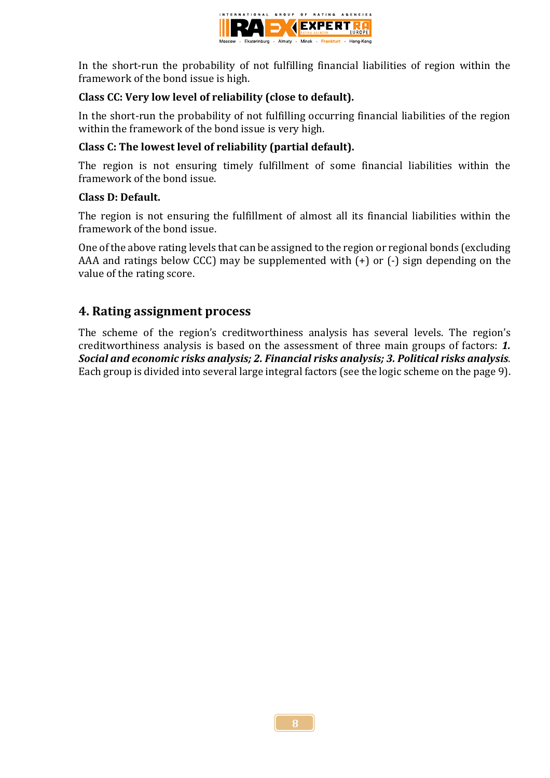

In the short-run the probability of not fulfilling financial liabilities of region within the framework of the bond issue is high.

# **Class СC: Very low level of reliability (close to default).**

In the short-run the probability of not fulfilling occurring financial liabilities of the region within the framework of the bond issue is very high.

# **Class С: The lowest level of reliability (partial default).**

The region is not ensuring timely fulfillment of some financial liabilities within the framework of the bond issue.

## **Class D: Default.**

The region is not ensuring the fulfillment of almost all its financial liabilities within the framework of the bond issue.

One of the above rating levels that can be assigned to the region or regional bonds (excluding AAA and ratings below CCC) may be supplemented with  $(+)$  or  $(-)$  sign depending on the value of the rating score.

# **4. Rating assignment process**

The scheme of the region's creditworthiness analysis has several levels. The region's creditworthiness analysis is based on the assessment of three main groups of factors: *1. Social and economic risks analysis; 2. Financial risks analysis; 3. Political risks analysis*. Each group is divided into several large integral factors (see the logic scheme on the page 9).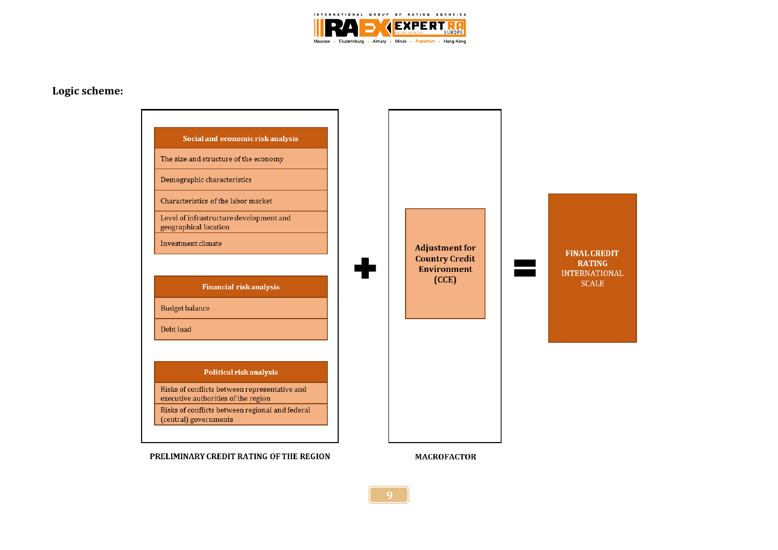

#### **Logic scheme:**

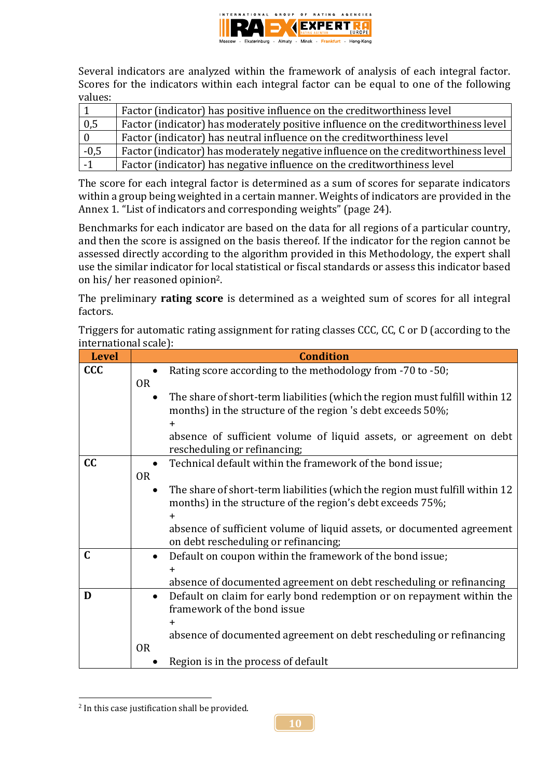

Several indicators are analyzed within the framework of analysis of each integral factor. Scores for the indicators within each integral factor can be equal to one of the following values:

|        | Factor (indicator) has positive influence on the creditworthiness level            |
|--------|------------------------------------------------------------------------------------|
| 0,5    | Factor (indicator) has moderately positive influence on the creditworthiness level |
|        | Factor (indicator) has neutral influence on the creditworthiness level             |
| $-0,5$ | Factor (indicator) has moderately negative influence on the creditworthiness level |
| $-1$   | Factor (indicator) has negative influence on the creditworthiness level            |

The score for each integral factor is determined as a sum of scores for separate indicators within a group being weighted in a certain manner. Weights of indicators are provided in the Annex 1. "List of indicators and corresponding weights" (page 24).

Benchmarks for each indicator are based on the data for all regions of a particular country, and then the score is assigned on the basis thereof. If the indicator for the region cannot be assessed directly according to the algorithm provided in this Methodology, the expert shall use the similar indicator for local statistical or fiscal standards or assess this indicator based on his/ her reasoned opinion2.

The preliminary **rating score** is determined as a weighted sum of scores for all integral factors.

Triggers for automatic rating assignment for rating classes CCC, CC, C or D (according to the international scale):

| <b>Level</b> |           | <b>Condition</b>                                                             |
|--------------|-----------|------------------------------------------------------------------------------|
| CCC          |           | Rating score according to the methodology from -70 to -50;                   |
|              | <b>OR</b> |                                                                              |
|              |           | The share of short-term liabilities (which the region must fulfill within 12 |
|              |           | months) in the structure of the region 's debt exceeds 50%;                  |
|              |           | $\pm$                                                                        |
|              |           | absence of sufficient volume of liquid assets, or agreement on debt          |
|              |           | rescheduling or refinancing;                                                 |
| cc           |           | Technical default within the framework of the bond issue;                    |
|              | <b>OR</b> |                                                                              |
|              |           | The share of short-term liabilities (which the region must fulfill within 12 |
|              |           | months) in the structure of the region's debt exceeds 75%;                   |
|              |           |                                                                              |
|              |           | absence of sufficient volume of liquid assets, or documented agreement       |
|              |           | on debt rescheduling or refinancing;                                         |
| C            |           | Default on coupon within the framework of the bond issue;                    |
|              |           | $\pm$                                                                        |
|              |           | absence of documented agreement on debt rescheduling or refinancing          |
| D            |           | Default on claim for early bond redemption or on repayment within the        |
|              |           | framework of the bond issue                                                  |
|              |           | ╋                                                                            |
|              |           | absence of documented agreement on debt rescheduling or refinancing          |
|              | <b>OR</b> |                                                                              |
|              |           | Region is in the process of default                                          |

<sup>1</sup>  $2$  In this case justification shall be provided.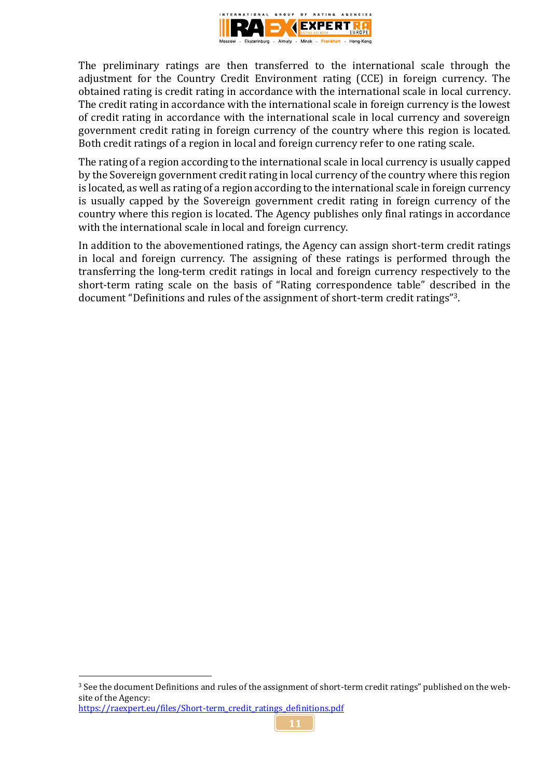

The preliminary ratings are then transferred to the international scale through the adjustment for the Country Credit Environment rating (CCE) in foreign currency. The obtained rating is credit rating in accordance with the international scale in local currency. The credit rating in accordance with the international scale in foreign currency is the lowest of credit rating in accordance with the international scale in local currency and sovereign government credit rating in foreign currency of the country where this region is located. Both credit ratings of a region in local and foreign currency refer to one rating scale.

The rating of a region according to the international scale in local currency is usually capped by the Sovereign government credit rating in local currency of the country where this region is located, as well as rating of a region according to the international scale in foreign currency is usually capped by the Sovereign government credit rating in foreign currency of the country where this region is located. The Agency publishes only final ratings in accordance with the international scale in local and foreign currency.

In addition to the abovementioned ratings, the Agency can assign short-term credit ratings in local and foreign currency. The assigning of these ratings is performed through the transferring the long-term credit ratings in local and foreign currency respectively to the short-term rating scale on the basis of "Rating correspondence table" described in the document "Definitions and rules of the assignment of short-term credit ratings"3.

1

<sup>3</sup> See the document Definitions and rules of the assignment of short-term credit ratings" published on the website of the Agency:

[https://raexpert.eu/files/Short-term\\_credit\\_ratings\\_definitions.pdf](https://raexpert.eu/files/Short-term_credit_ratings_definitions.pdf)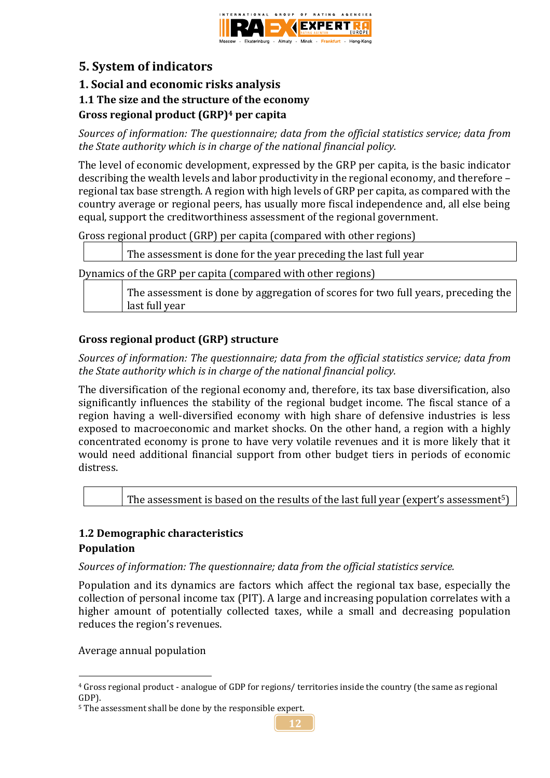

# **5. System of indicators**

# **1. Social and economic risks analysis**

# **1.1 The size and the structure of the economy**

# **Gross regional product (GRP)<sup>4</sup> per capita**

*Sources of information: The questionnaire; data from the official statistics service; data from the State authority which is in charge of the national financial policy.*

The level of economic development, expressed by the GRP per capita, is the basic indicator describing the wealth levels and labor productivity in the regional economy, and therefore – regional tax base strength. A region with high levels of GRP per capita, as compared with the country average or regional peers, has usually more fiscal independence and, all else being equal, support the creditworthiness assessment of the regional government.

Gross regional product (GRP) per capita (compared with other regions)

The assessment is done for the year preceding the last full year

Dynamics of the GRP per capita (compared with other regions)

The assessment is done by aggregation of scores for two full years, preceding the last full year

# **Gross regional product (GRP) structure**

*Sources of information: The questionnaire; data from the official statistics service; data from the State authority which is in charge of the national financial policy.*

The diversification of the regional economy and, therefore, its tax base diversification, also significantly influences the stability of the regional budget income. The fiscal stance of a region having a well-diversified economy with high share of defensive industries is less exposed to macroeconomic and market shocks. On the other hand, a region with a highly concentrated economy is prone to have very volatile revenues and it is more likely that it would need additional financial support from other budget tiers in periods of economic distress.

The assessment is based on the results of the last full year (expert's assessment<sup>5</sup>)

# **1.2 Demographic characteristics**

# **Population**

1

*Sources of information: The questionnaire; data from the official statistics service.*

Population and its dynamics are factors which affect the regional tax base, especially the collection of personal income tax (PIT). A large and increasing population correlates with a higher amount of potentially collected taxes, while a small and decreasing population reduces the region's revenues.

Average annual population

<sup>4</sup> Gross regional product - analogue of GDP for regions/ territories inside the country (the same as regional GDP).

<sup>&</sup>lt;sup>5</sup> The assessment shall be done by the responsible expert.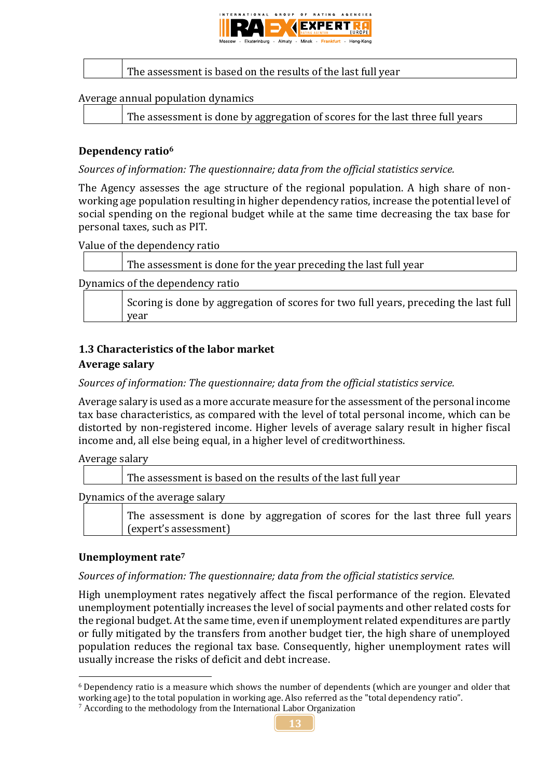

# The assessment is based on the results of the last full year

#### Average annual population dynamics

The assessment is done by aggregation of scores for the last three full years

#### **Dependency ratio<sup>6</sup>**

*Sources of information: The questionnaire; data from the official statistics service.*

The Agency assesses the age structure of the regional population. A high share of nonworking age population resulting in higher dependency ratios, increase the potential level of social spending on the regional budget while at the same time decreasing the tax base for personal taxes, such as PIT.

Value of the dependency ratio

|  | The assessment is done for the year preceding the last full year |
|--|------------------------------------------------------------------|
|  |                                                                  |

Dynamics of the dependency ratio

Scoring is done by aggregation of scores for two full years, preceding the last full year

## **1.3 Characteristics of the labor market**

#### **Average salary**

*Sources of information: The questionnaire; data from the official statistics service.*

Average salary is used as a more accurate measure for the assessment of the personal income tax base characteristics, as compared with the level of total personal income, which can be distorted by non-registered income. Higher levels of average salary result in higher fiscal income and, all else being equal, in a higher level of creditworthiness.

Average salary

The assessment is based on the results of the last full year

Dynamics of the average salary

The assessment is done by aggregation of scores for the last three full years (expert's assessment)

#### **Unemployment rate<sup>7</sup>**

1

#### *Sources of information: The questionnaire; data from the official statistics service.*

High unemployment rates negatively affect the fiscal performance of the region. Elevated unemployment potentially increases the level of social payments and other related costs for the regional budget. At the same time, even if unemployment related expenditures are partly or fully mitigated by the transfers from another budget tier, the high share of unemployed population reduces the regional tax base. Consequently, higher unemployment rates will usually increase the risks of deficit and debt increase.

<sup>6</sup> Dependency ratio is a measure which shows the number of dependents (which are younger and older that working age) to the total population in working age. Also referred as the "total dependency ratio".

<sup>7</sup> According to the methodology from the International Labor Organization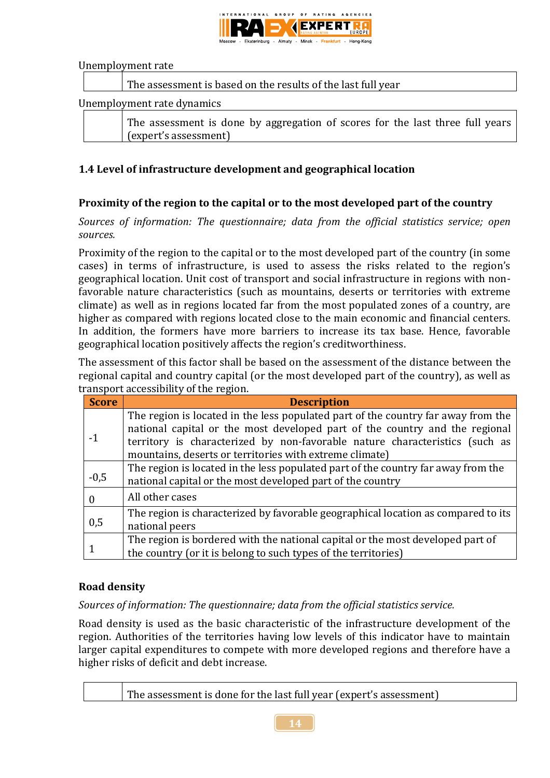

Unemployment rate

|  | The assessment is based on the results of the last full year |
|--|--------------------------------------------------------------|
|  | Unemployment rate dynamics                                   |
|  |                                                              |

| The assessment is done by aggregation of scores for the last three full years |  |  |  |  |  |  |
|-------------------------------------------------------------------------------|--|--|--|--|--|--|
| (expert's assessment)                                                         |  |  |  |  |  |  |

## **1.4 Level of infrastructure development and geographical location**

# **Proximity of the region to the capital or to the most developed part of the country**

*Sources of information: The questionnaire; data from the official statistics service; open sources.*

Proximity of the region to the capital or to the most developed part of the country (in some cases) in terms of infrastructure, is used to assess the risks related to the region's geographical location. Unit cost of transport and social infrastructure in regions with nonfavorable nature characteristics (such as mountains, deserts or territories with extreme climate) as well as in regions located far from the most populated zones of a country, are higher as compared with regions located close to the main economic and financial centers. In addition, the formers have more barriers to increase its tax base. Hence, favorable geographical location positively affects the region's creditworthiness.

The assessment of this factor shall be based on the assessment of the distance between the regional capital and country capital (or the most developed part of the country), as well as transport accessibility of the region.

| <b>Score</b> | <b>Description</b>                                                                |
|--------------|-----------------------------------------------------------------------------------|
|              | The region is located in the less populated part of the country far away from the |
|              | national capital or the most developed part of the country and the regional       |
|              | territory is characterized by non-favorable nature characteristics (such as       |
|              | mountains, deserts or territories with extreme climate)                           |
|              | The region is located in the less populated part of the country far away from the |
| $-0,5$       | national capital or the most developed part of the country                        |
|              | All other cases                                                                   |
|              | The region is characterized by favorable geographical location as compared to its |
| 0,5          | national peers                                                                    |
|              | The region is bordered with the national capital or the most developed part of    |
|              | the country (or it is belong to such types of the territories)                    |

#### **Road density**

*Sources of information: The questionnaire; data from the official statistics service.*

Road density is used as the basic characteristic of the infrastructure development of the region. Authorities of the territories having low levels of this indicator have to maintain larger capital expenditures to compete with more developed regions and therefore have a higher risks of deficit and debt increase.

|  | The assessment is done for the last full year (expert's assessment) |
|--|---------------------------------------------------------------------|
|  |                                                                     |

**14**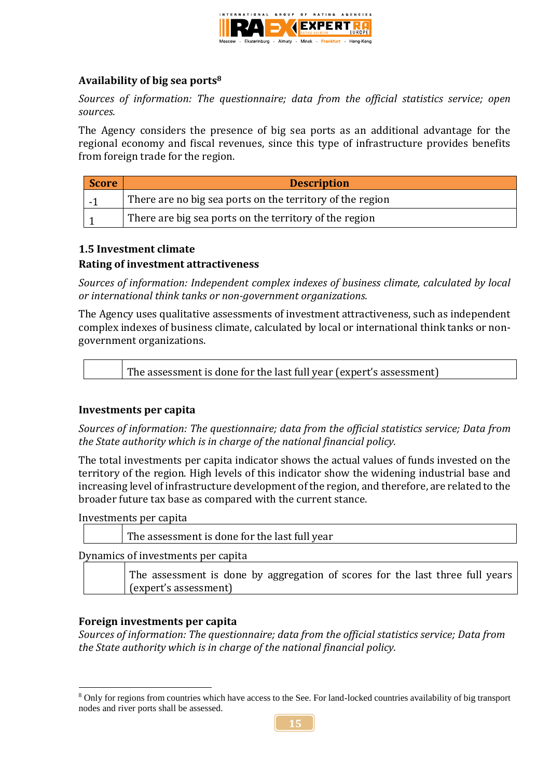

# **Availability of big sea ports<sup>8</sup>**

*Sources of information: The questionnaire; data from the official statistics service; open sources.*

The Agency considers the presence of big sea ports as an additional advantage for the regional economy and fiscal revenues, since this type of infrastructure provides benefits from foreign trade for the region.

| Score  | <b>Description</b>                                        |
|--------|-----------------------------------------------------------|
| $\sim$ | There are no big sea ports on the territory of the region |
|        | There are big sea ports on the territory of the region    |

#### **1.5 Investment climate**

## **Rating of investment attractiveness**

*Sources of information: Independent complex indexes of business climate, calculated by local or international think tanks or non-government organizations.*

The Agency uses qualitative assessments of investment attractiveness, such as independent complex indexes of business climate, calculated by local or international think tanks or nongovernment organizations.

The assessment is done for the last full year (expert's assessment)

#### **Investments per capita**

*Sources of information: The questionnaire; data from the official statistics service; Data from the State authority which is in charge of the national financial policy.*

The total investments per capita indicator shows the actual values of funds invested on the territory of the region. High levels of this indicator show the widening industrial base and increasing level of infrastructure development of the region, and therefore, are related to the broader future tax base as compared with the current stance.

Investments per capita

| The assessment is done for the last full year |
|-----------------------------------------------|
|                                               |

Dynamics of investments per capita

The assessment is done by aggregation of scores for the last three full years (expert's assessment)

#### **Foreign investments per capita**

*Sources of information: The questionnaire; data from the official statistics service; Data from the State authority which is in charge of the national financial policy.*

<sup>1</sup> <sup>8</sup> Only for regions from countries which have access to the See. For land-locked countries availability of big transport nodes and river ports shall be assessed.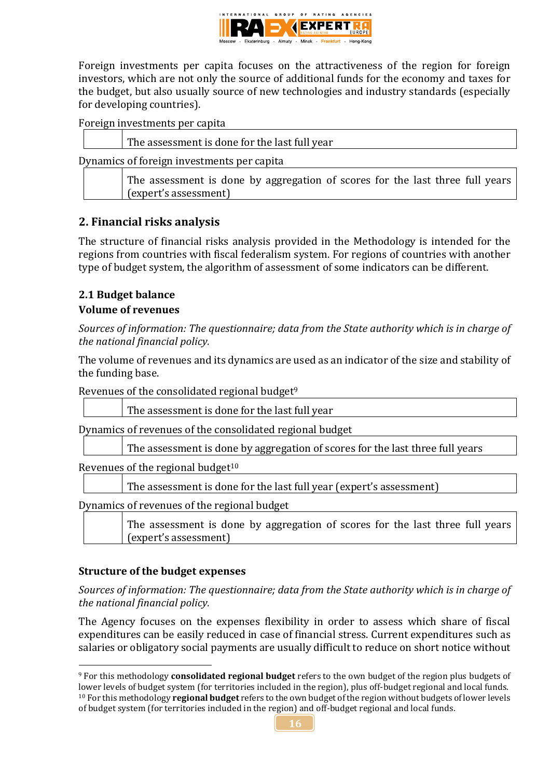

Foreign investments per capita focuses on the attractiveness of the region for foreign investors, which are not only the source of additional funds for the economy and taxes for the budget, but also usually source of new technologies and industry standards (especially for developing countries).

| Foreign investments per capita |  |
|--------------------------------|--|
|                                |  |

| The assessment is done for the last full year                                                          |
|--------------------------------------------------------------------------------------------------------|
| Dynamics of foreign investments per capita                                                             |
| The assessment is done by aggregation of scores for the last three full years<br>(expert's assessment) |

# **2. Financial risks analysis**

The structure of financial risks analysis provided in the Methodology is intended for the regions from countries with fiscal federalism system. For regions of countries with another type of budget system, the algorithm of assessment of some indicators can be different.

# **2.1 Budget balance**

## **Volume of revenues**

*Sources of information: The questionnaire; data from the State authority which is in charge of the national financial policy.*

The volume of revenues and its dynamics are used as an indicator of the size and stability of the funding base.

Revenues of the consolidated regional budget<sup>9</sup>

|  | The assessment is done for the last full year |  |  |
|--|-----------------------------------------------|--|--|
|--|-----------------------------------------------|--|--|

Dynamics of revenues of the consolidated regional budget

The assessment is done by aggregation of scores for the last three full years

Revenues of the regional budget $10<sup>10</sup>$ 

The assessment is done for the last full year (expert's assessment)

Dynamics of revenues of the regional budget

The assessment is done by aggregation of scores for the last three full years (expert's assessment)

# **Structure of the budget expenses**

1

*Sources of information: The questionnaire; data from the State authority which is in charge of the national financial policy.*

The Agency focuses on the expenses flexibility in order to assess which share of fiscal expenditures can be easily reduced in case of financial stress. Current expenditures such as salaries or obligatory social payments are usually difficult to reduce on short notice without

<sup>9</sup> For this methodology **consolidated regional budget** refers to the own budget of the region plus budgets of lower levels of budget system (for territories included in the region), plus off-budget regional and local funds. <sup>10</sup> For this methodology **regional budget** refers to the own budget of the region without budgets of lower levels of budget system (for territories included in the region) and off-budget regional and local funds.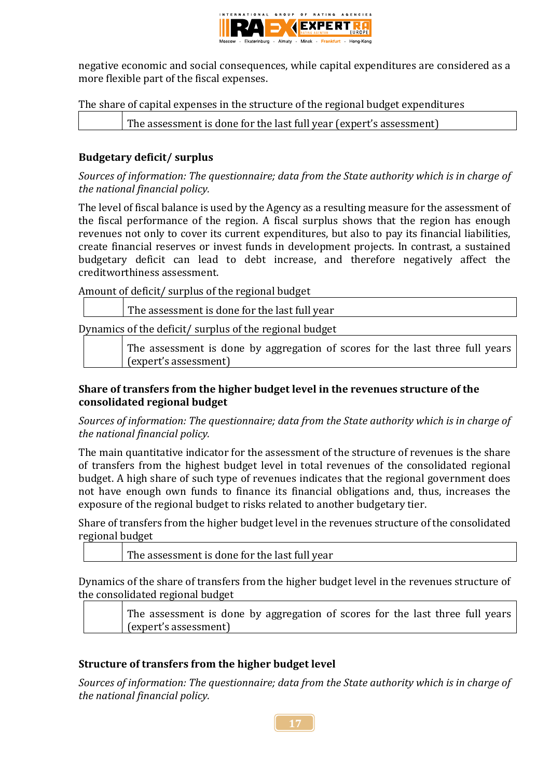

negative economic and social consequences, while capital expenditures are considered as a more flexible part of the fiscal expenses.

The share of capital expenses in the structure of the regional budget expenditures

The assessment is done for the last full year (expert's assessment)

# **Budgetary deficit/ surplus**

*Sources of information: The questionnaire; data from the State authority which is in charge of the national financial policy.*

The level of fiscal balance is used by the Agency as a resulting measure for the assessment of the fiscal performance of the region. A fiscal surplus shows that the region has enough revenues not only to cover its current expenditures, but also to pay its financial liabilities, create financial reserves or invest funds in development projects. In contrast, a sustained budgetary deficit can lead to debt increase, and therefore negatively affect the creditworthiness assessment.

Amount of deficit/ surplus of the regional budget

| The assessment is done for the last full year                                                          |
|--------------------------------------------------------------------------------------------------------|
| Dynamics of the deficit/surplus of the regional budget                                                 |
| The assessment is done by aggregation of scores for the last three full years<br>(expert's assessment) |

# **Share of transfers from the higher budget level in the revenues structure of the consolidated regional budget**

*Sources of information: The questionnaire; data from the State authority which is in charge of the national financial policy.*

The main quantitative indicator for the assessment of the structure of revenues is the share of transfers from the highest budget level in total revenues of the consolidated regional budget. A high share of such type of revenues indicates that the regional government does not have enough own funds to finance its financial obligations and, thus, increases the exposure of the regional budget to risks related to another budgetary tier.

Share of transfers from the higher budget level in the revenues structure of the consolidated regional budget

| The assessment is done for the last full year |
|-----------------------------------------------|
|                                               |

Dynamics of the share of transfers from the higher budget level in the revenues structure of the consolidated regional budget

The assessment is done by aggregation of scores for the last three full years (expert's assessment)

# **Structure of transfers from the higher budget level**

*Sources of information: The questionnaire; data from the State authority which is in charge of the national financial policy.*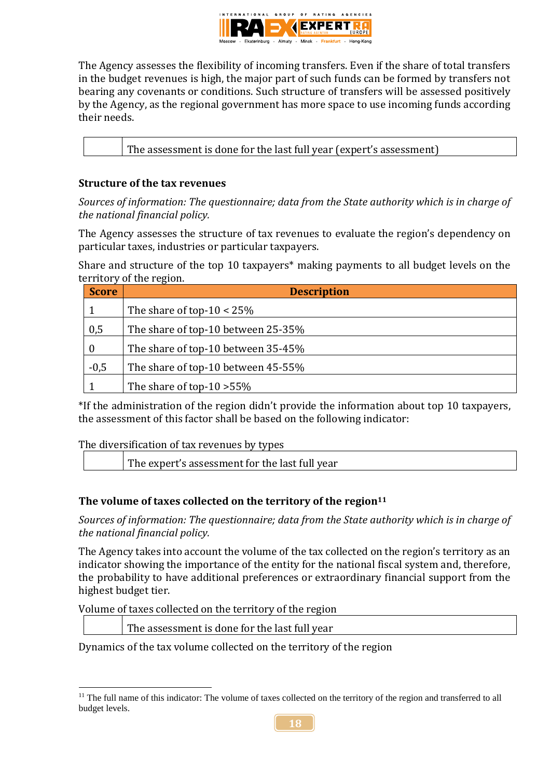

The Agency assesses the flexibility of incoming transfers. Even if the share of total transfers in the budget revenues is high, the major part of such funds can be formed by transfers not bearing any covenants or conditions. Such structure of transfers will be assessed positively by the Agency, as the regional government has more space to use incoming funds according their needs.

The assessment is done for the last full year (expert's assessment)

## **Structure of the tax revenues**

*Sources of information: The questionnaire; data from the State authority which is in charge of the national financial policy.*

The Agency assesses the structure of tax revenues to evaluate the region's dependency on particular taxes, industries or particular taxpayers.

Share and structure of the top 10 taxpayers\* making payments to all budget levels on the territory of the region.

| <b>Score</b>     | <b>Description</b>                 |  |  |  |
|------------------|------------------------------------|--|--|--|
|                  | The share of top- $10 < 25\%$      |  |  |  |
| 0,5              | The share of top-10 between 25-35% |  |  |  |
| $\boldsymbol{0}$ | The share of top-10 between 35-45% |  |  |  |
| $-0,5$           | The share of top-10 between 45-55% |  |  |  |
|                  | The share of top-10 $>55\%$        |  |  |  |

\*If the administration of the region didn't provide the information about top 10 taxpayers, the assessment of this factor shall be based on the following indicator:

The diversification of tax revenues by types

The expert's assessment for the last full year

#### **The volume of taxes collected on the territory of the region<sup>11</sup>**

*Sources of information: The questionnaire; data from the State authority which is in charge of the national financial policy.*

The Agency takes into account the volume of the tax collected on the region's territory as an indicator showing the importance of the entity for the national fiscal system and, therefore, the probability to have additional preferences or extraordinary financial support from the highest budget tier.

Volume of taxes collected on the territory of the region

1

The assessment is done for the last full year

Dynamics of the tax volume collected on the territory of the region

<sup>&</sup>lt;sup>11</sup> The full name of this indicator: The volume of taxes collected on the territory of the region and transferred to all budget levels.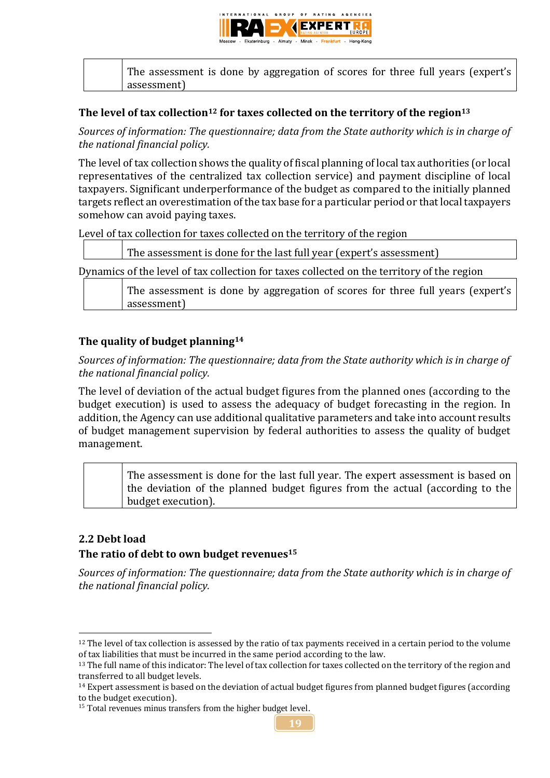

|  | The assessment is done by aggregation of scores for three full years (expert's |  |  |  |  |  |
|--|--------------------------------------------------------------------------------|--|--|--|--|--|
|  | assessment)                                                                    |  |  |  |  |  |

#### **The level of tax collection<sup>12</sup> for taxes collected on the territory of the region<sup>13</sup>**

*Sources of information: The questionnaire; data from the State authority which is in charge of the national financial policy.*

The level of tax collection shows the quality of fiscal planning of local tax authorities (or local representatives of the centralized tax collection service) and payment discipline of local taxpayers. Significant underperformance of the budget as compared to the initially planned targets reflect an overestimation of the tax base for a particular period or that local taxpayers somehow can avoid paying taxes.

Level of tax collection for taxes collected on the territory of the region

The assessment is done for the last full year (expert's assessment)

Dynamics of the level of tax collection for taxes collected on the territory of the region

The assessment is done by aggregation of scores for three full years (expert's assessment)

## **The quality of budget planning<sup>14</sup>**

*Sources of information: The questionnaire; data from the State authority which is in charge of the national financial policy.*

The level of deviation of the actual budget figures from the planned ones (according to the budget execution) is used to assess the adequacy of budget forecasting in the region. In addition, the Agency can use additional qualitative parameters and take into account results of budget management supervision by federal authorities to assess the quality of budget management.

The assessment is done for the last full year. The expert assessment is based on the deviation of the planned budget figures from the actual (according to the budget execution).

# **2.2 Debt load**

<u>.</u>

#### **The ratio of debt to own budget revenues<sup>15</sup>**

*Sources of information: The questionnaire; data from the State authority which is in charge of the national financial policy.*

<sup>&</sup>lt;sup>15</sup> Total revenues minus transfers from the higher budget level.



 $12$  The level of tax collection is assessed by the ratio of tax payments received in a certain period to the volume of tax liabilities that must be incurred in the same period according to the law.

<sup>&</sup>lt;sup>13</sup> The full name of this indicator: The level of tax collection for taxes collected on the territory of the region and transferred to all budget levels.

<sup>&</sup>lt;sup>14</sup> Expert assessment is based on the deviation of actual budget figures from planned budget figures (according to the budget execution).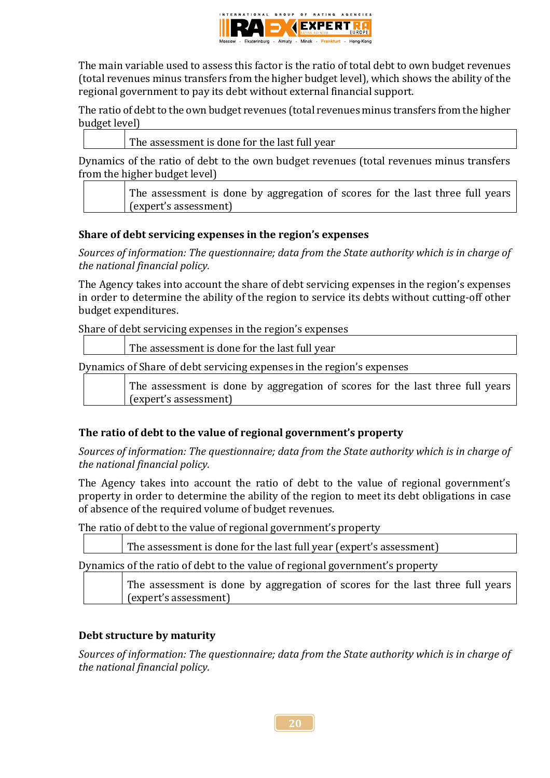

The main variable used to assess this factor is the ratio of total debt to own budget revenues (total revenues minus transfers from the higher budget level), which shows the ability of the regional government to pay its debt without external financial support.

The ratio of debt to the own budget revenues (total revenues minus transfers from the higher budget level)

The assessment is done for the last full year

Dynamics of the ratio of debt to the own budget revenues (total revenues minus transfers from the higher budget level)

The assessment is done by aggregation of scores for the last three full years (expert's assessment)

#### **Share of debt servicing expenses in the region's expenses**

*Sources of information: The questionnaire; data from the State authority which is in charge of the national financial policy.*

The Agency takes into account the share of debt servicing expenses in the region's expenses in order to determine the ability of the region to service its debts without cutting-off other budget expenditures.

Share of debt servicing expenses in the region's expenses

The assessment is done for the last full year

Dynamics of Share of debt servicing expenses in the region's expenses

The assessment is done by aggregation of scores for the last three full years (expert's assessment)

# **The ratio of debt to the value of regional government's property**

*Sources of information: The questionnaire; data from the State authority which is in charge of the national financial policy.*

The Agency takes into account the ratio of debt to the value of regional government's property in order to determine the ability of the region to meet its debt obligations in case of absence of the required volume of budget revenues.

The ratio of debt to the value of regional government's property

The assessment is done for the last full year (expert's assessment)

Dynamics of the ratio of debt to the value of regional government's property

The assessment is done by aggregation of scores for the last three full years (expert's assessment)

#### **Debt structure by maturity**

*Sources of information: The questionnaire; data from the State authority which is in charge of the national financial policy.*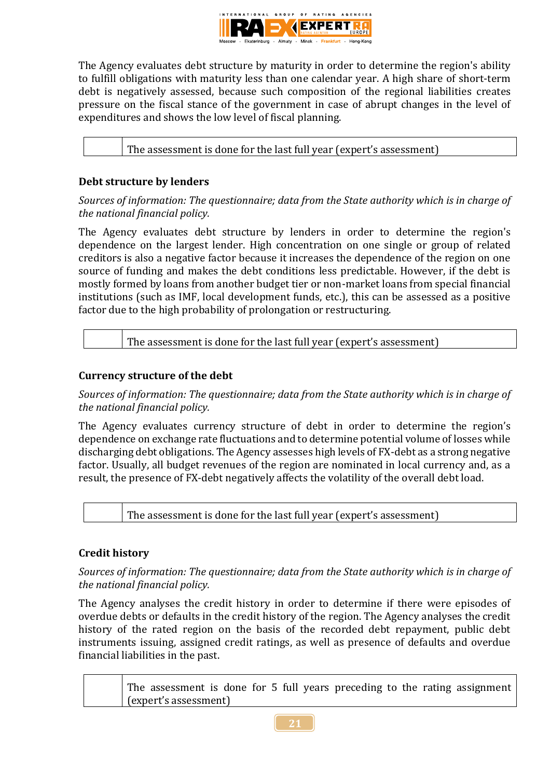

The Agency evaluates debt structure by maturity in order to determine the region's ability to fulfill obligations with maturity less than one calendar year. A high share of short-term debt is negatively assessed, because such composition of the regional liabilities creates pressure on the fiscal stance of the government in case of abrupt changes in the level of expenditures and shows the low level of fiscal planning.

The assessment is done for the last full year (expert's assessment)

## **Debt structure by lenders**

*Sources of information: The questionnaire; data from the State authority which is in charge of the national financial policy.*

The Agency evaluates debt structure by lenders in order to determine the region's dependence on the largest lender. High concentration on one single or group of related creditors is also a negative factor because it increases the dependence of the region on one source of funding and makes the debt conditions less predictable. However, if the debt is mostly formed by loans from another budget tier or non-market loans from special financial institutions (such as IMF, local development funds, etc.), this can be assessed as a positive factor due to the high probability of prolongation or restructuring.

| The assessment is done for the last full year (expert's assessment) |
|---------------------------------------------------------------------|
|---------------------------------------------------------------------|

#### **Currency structure of the debt**

*Sources of information: The questionnaire; data from the State authority which is in charge of the national financial policy.*

The Agency evaluates currency structure of debt in order to determine the region's dependence on exchange rate fluctuations and to determine potential volume of losses while discharging debt obligations. The Agency assesses high levels of FX-debt as a strong negative factor. Usually, all budget revenues of the region are nominated in local currency and, as a result, the presence of FX-debt negatively affects the volatility of the overall debt load.

The assessment is done for the last full year (expert's assessment)

# **Credit history**

*Sources of information: The questionnaire; data from the State authority which is in charge of the national financial policy.*

The Agency analyses the credit history in order to determine if there were episodes of overdue debts or defaults in the credit history of the region. The Agency analyses the credit history of the rated region on the basis of the recorded debt repayment, public debt instruments issuing, assigned credit ratings, as well as presence of defaults and overdue financial liabilities in the past.

The assessment is done for 5 full years preceding to the rating assignment (expert's assessment)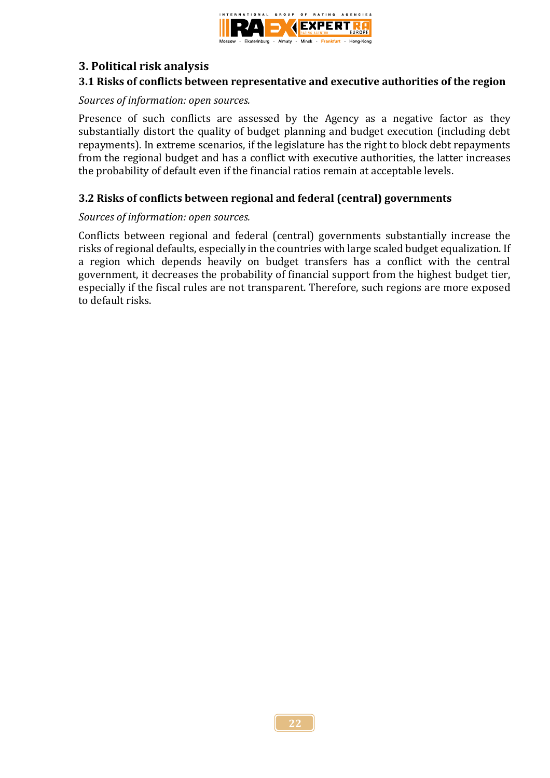

## **3. Political risk analysis**

#### **3.1 Risks of conflicts between representative and executive authorities of the region**

#### *Sources of information: open sources.*

Presence of such conflicts are assessed by the Agency as a negative factor as they substantially distort the quality of budget planning and budget execution (including debt repayments). In extreme scenarios, if the legislature has the right to block debt repayments from the regional budget and has a conflict with executive authorities, the latter increases the probability of default even if the financial ratios remain at acceptable levels.

#### **3.2 Risks of conflicts between regional and federal (central) governments**

#### *Sources of information: open sources.*

Conflicts between regional and federal (central) governments substantially increase the risks of regional defaults, especially in the countries with large scaled budget equalization. If a region which depends heavily on budget transfers has a conflict with the central government, it decreases the probability of financial support from the highest budget tier, especially if the fiscal rules are not transparent. Therefore, such regions are more exposed to default risks.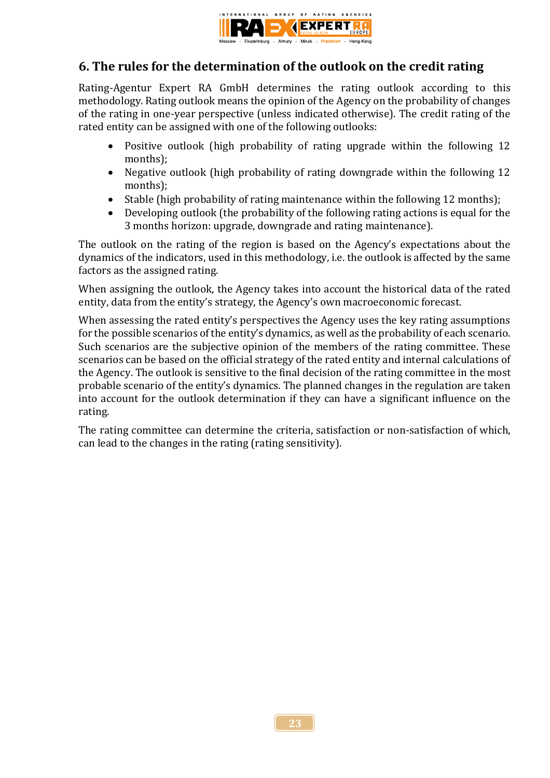

# **6. The rules for the determination of the outlook on the credit rating**

Rating-Agentur Expert RA GmbH determines the rating outlook according to this methodology. Rating outlook means the opinion of the Agency on the probability of changes of the rating in one-year perspective (unless indicated otherwise). The credit rating of the rated entity can be assigned with one of the following outlooks:

- Positive outlook (high probability of rating upgrade within the following 12 months);
- Negative outlook (high probability of rating downgrade within the following 12 months);
- Stable (high probability of rating maintenance within the following 12 months);
- Developing outlook (the probability of the following rating actions is equal for the 3 months horizon: upgrade, downgrade and rating maintenance).

The outlook on the rating of the region is based on the Agency's expectations about the dynamics of the indicators, used in this methodology, i.e. the outlook is affected by the same factors as the assigned rating.

When assigning the outlook, the Agency takes into account the historical data of the rated entity, data from the entity's strategy, the Agency's own macroeconomic forecast.

When assessing the rated entity's perspectives the Agency uses the key rating assumptions for the possible scenarios of the entity's dynamics, as well as the probability of each scenario. Such scenarios are the subjective opinion of the members of the rating committee. These scenarios can be based on the official strategy of the rated entity and internal calculations of the Agency. The outlook is sensitive to the final decision of the rating committee in the most probable scenario of the entity's dynamics. The planned changes in the regulation are taken into account for the outlook determination if they can have a significant influence on the rating.

The rating committee can determine the criteria, satisfaction or non-satisfaction of which, can lead to the changes in the rating (rating sensitivity).